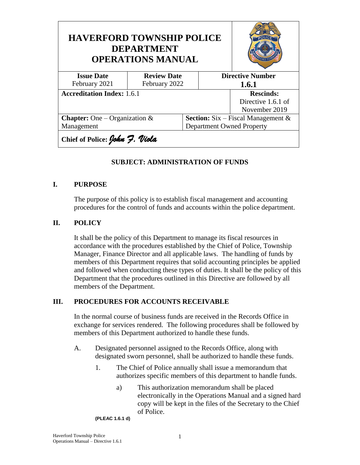| <b>HAVERFORD TOWNSHIP POLICE</b><br><b>DEPARTMENT</b><br><b>OPERATIONS MANUAL</b> |                    |                                              |                  |                         |  |
|-----------------------------------------------------------------------------------|--------------------|----------------------------------------------|------------------|-------------------------|--|
| <b>Issue Date</b>                                                                 | <b>Review Date</b> |                                              |                  | <b>Directive Number</b> |  |
| February 2021                                                                     | February 2022      |                                              | 1.6.1            |                         |  |
| <b>Accreditation Index: 1.6.1</b>                                                 |                    |                                              | <b>Rescinds:</b> |                         |  |
|                                                                                   |                    |                                              |                  | Directive 1.6.1 of      |  |
|                                                                                   |                    |                                              | November 2019    |                         |  |
| <b>Chapter:</b> One – Organization &                                              |                    | <b>Section:</b> Six – Fiscal Management $\&$ |                  |                         |  |
| Management                                                                        |                    | <b>Department Owned Property</b>             |                  |                         |  |
| Chief of Police: John 7. Viola                                                    |                    |                                              |                  |                         |  |

#### **SUBJECT: ADMINISTRATION OF FUNDS**

#### **I. PURPOSE**

The purpose of this policy is to establish fiscal management and accounting procedures for the control of funds and accounts within the police department.

## **II. POLICY**

It shall be the policy of this Department to manage its fiscal resources in accordance with the procedures established by the Chief of Police, Township Manager, Finance Director and all applicable laws. The handling of funds by members of this Department requires that solid accounting principles be applied and followed when conducting these types of duties. It shall be the policy of this Department that the procedures outlined in this Directive are followed by all members of the Department.

#### **III. PROCEDURES FOR ACCOUNTS RECEIVABLE**

In the normal course of business funds are received in the Records Office in exchange for services rendered. The following procedures shall be followed by members of this Department authorized to handle these funds.

- A. Designated personnel assigned to the Records Office, along with designated sworn personnel, shall be authorized to handle these funds.
	- 1. The Chief of Police annually shall issue a memorandum that authorizes specific members of this department to handle funds.
		- a) This authorization memorandum shall be placed electronically in the Operations Manual and a signed hard copy will be kept in the files of the Secretary to the Chief of Police.

#### **(PLEAC 1.6.1 d)**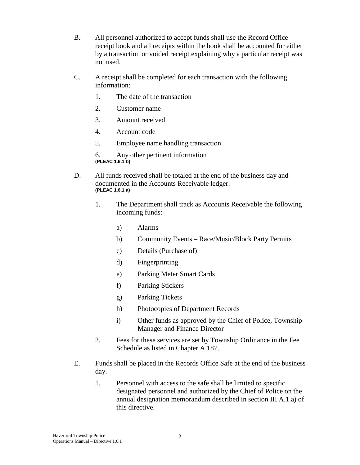- B. All personnel authorized to accept funds shall use the Record Office receipt book and all receipts within the book shall be accounted for either by a transaction or voided receipt explaining why a particular receipt was not used.
- C. A receipt shall be completed for each transaction with the following information:
	- 1. The date of the transaction
	- 2. Customer name
	- 3. Amount received
	- 4. Account code
	- 5. Employee name handling transaction

6. Any other pertinent information **(PLEAC 1.6.1 b)**

- D. All funds received shall be totaled at the end of the business day and documented in the Accounts Receivable ledger. **(PLEAC 1.6.1 a)**
	- 1. The Department shall track as Accounts Receivable the following incoming funds:
		- a) Alarms
		- b) Community Events Race/Music/Block Party Permits
		- c) Details (Purchase of)
		- d) Fingerprinting
		- e) Parking Meter Smart Cards
		- f) Parking Stickers
		- g) Parking Tickets
		- h) Photocopies of Department Records
		- i) Other funds as approved by the Chief of Police, Township Manager and Finance Director
	- 2. Fees for these services are set by Township Ordinance in the Fee Schedule as listed in Chapter A 187.
- E. Funds shall be placed in the Records Office Safe at the end of the business day.
	- 1. Personnel with access to the safe shall be limited to specific designated personnel and authorized by the Chief of Police on the annual designation memorandum described in section III A.1.a) of this directive.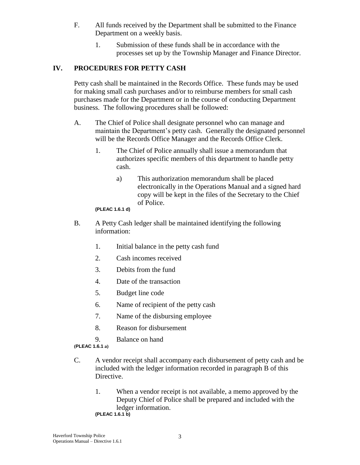- F. All funds received by the Department shall be submitted to the Finance Department on a weekly basis.
	- 1. Submission of these funds shall be in accordance with the processes set up by the Township Manager and Finance Director.

# **IV. PROCEDURES FOR PETTY CASH**

Petty cash shall be maintained in the Records Office. These funds may be used for making small cash purchases and/or to reimburse members for small cash purchases made for the Department or in the course of conducting Department business. The following procedures shall be followed:

- A. The Chief of Police shall designate personnel who can manage and maintain the Department's petty cash. Generally the designated personnel will be the Records Office Manager and the Records Office Clerk.
	- 1. The Chief of Police annually shall issue a memorandum that authorizes specific members of this department to handle petty cash.
		- a) This authorization memorandum shall be placed electronically in the Operations Manual and a signed hard copy will be kept in the files of the Secretary to the Chief of Police.

**(PLEAC 1.6.1 d)**

- B. A Petty Cash ledger shall be maintained identifying the following information:
	- 1. Initial balance in the petty cash fund
	- 2. Cash incomes received
	- 3. Debits from the fund
	- 4. Date of the transaction
	- 5. Budget line code
	- 6. Name of recipient of the petty cash
	- 7. Name of the disbursing employee
	- 8. Reason for disbursement
	- 9. Balance on hand

**(PLEAC 1.6.1 a)**

- C. A vendor receipt shall accompany each disbursement of petty cash and be included with the ledger information recorded in paragraph B of this Directive.
	- 1. When a vendor receipt is not available, a memo approved by the Deputy Chief of Police shall be prepared and included with the ledger information.

**(PLEAC 1.6.1 b)**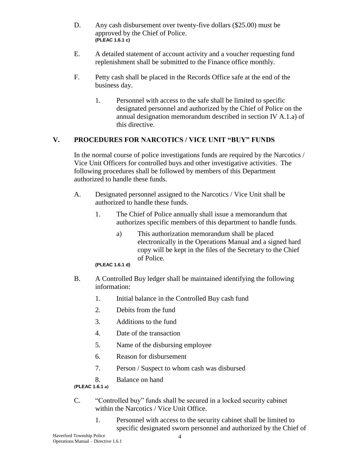- D. Any cash disbursement over twenty-five dollars (\$25.00) must be approved by the Chief of Police. **(PLEAC 1.6.1 c)**
- E. A detailed statement of account activity and a voucher requesting fund replenishment shall be submitted to the Finance office monthly.
- F. Petty cash shall be placed in the Records Office safe at the end of the business day.
	- 1. Personnel with access to the safe shall be limited to specific designated personnel and authorized by the Chief of Police on the annual designation memorandum described in section IV A.1.a) of this directive.

# **V. PROCEDURES FOR NARCOTICS / VICE UNIT "BUY" FUNDS**

In the normal course of police investigations funds are required by the Narcotics / Vice Unit Officers for controlled buys and other investigative activities. The following procedures shall be followed by members of this Department authorized to handle these funds.

- A. Designated personnel assigned to the Narcotics / Vice Unit shall be authorized to handle these funds.
	- 1. The Chief of Police annually shall issue a memorandum that authorizes specific members of this department to handle funds.
		- a) This authorization memorandum shall be placed electronically in the Operations Manual and a signed hard copy will be kept in the files of the Secretary to the Chief of Police.

**(PLEAC 1.6.1 d)**

- B. A Controlled Buy ledger shall be maintained identifying the following information:
	- 1. Initial balance in the Controlled Buy cash fund
	- 2. Debits from the fund
	- 3. Additions to the fund
	- 4. Date of the transaction
	- 5. Name of the disbursing employee
	- 6. Reason for disbursement
	- 7. Person / Suspect to whom cash was disbursed
	- 8. Balance on hand

**(PLEAC 1.6.1 a)**

- C. "Controlled buy" funds shall be secured in a locked security cabinet within the Narcotics / Vice Unit Office.
	- 1. Personnel with access to the security cabinet shall be limited to specific designated sworn personnel and authorized by the Chief of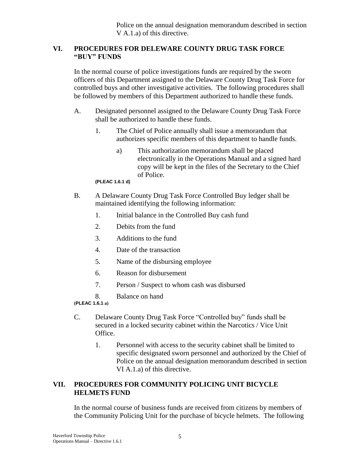Police on the annual designation memorandum described in section V A.1.a) of this directive.

#### **VI. PROCEDURES FOR DELEWARE COUNTY DRUG TASK FORCE "BUY" FUNDS**

In the normal course of police investigations funds are required by the sworn officers of this Department assigned to the Delaware County Drug Task Force for controlled buys and other investigative activities. The following procedures shall be followed by members of this Department authorized to handle these funds.

- A. Designated personnel assigned to the Delaware County Drug Task Force shall be authorized to handle these funds.
	- 1. The Chief of Police annually shall issue a memorandum that authorizes specific members of this department to handle funds.
		- a) This authorization memorandum shall be placed electronically in the Operations Manual and a signed hard copy will be kept in the files of the Secretary to the Chief of Police.

**(PLEAC 1.6.1 d)**

- B. A Delaware County Drug Task Force Controlled Buy ledger shall be maintained identifying the following information:
	- 1. Initial balance in the Controlled Buy cash fund
	- 2. Debits from the fund
	- 3. Additions to the fund
	- 4. Date of the transaction
	- 5. Name of the disbursing employee
	- 6. Reason for disbursement
	- 7. Person / Suspect to whom cash was disbursed
	- 8. Balance on hand

**(PLEAC 1.6.1 a)**

- C. Delaware County Drug Task Force "Controlled buy" funds shall be secured in a locked security cabinet within the Narcotics / Vice Unit Office.
	- 1. Personnel with access to the security cabinet shall be limited to specific designated sworn personnel and authorized by the Chief of Police on the annual designation memorandum described in section VI A.1.a) of this directive.

# **VII. PROCEDURES FOR COMMUNITY POLICING UNIT BICYCLE HELMETS FUND**

In the normal course of business funds are received from citizens by members of the Community Policing Unit for the purchase of bicycle helmets. The following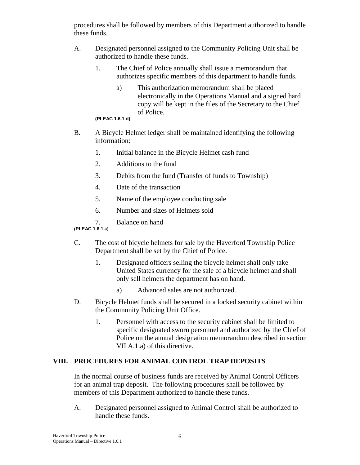procedures shall be followed by members of this Department authorized to handle these funds.

- A. Designated personnel assigned to the Community Policing Unit shall be authorized to handle these funds.
	- 1. The Chief of Police annually shall issue a memorandum that authorizes specific members of this department to handle funds.
		- a) This authorization memorandum shall be placed electronically in the Operations Manual and a signed hard copy will be kept in the files of the Secretary to the Chief of Police.

#### **(PLEAC 1.6.1 d)**

- B. A Bicycle Helmet ledger shall be maintained identifying the following information:
	- 1. Initial balance in the Bicycle Helmet cash fund
	- 2. Additions to the fund
	- 3. Debits from the fund (Transfer of funds to Township)
	- 4. Date of the transaction
	- 5. Name of the employee conducting sale
	- 6. Number and sizes of Helmets sold
	- 7. Balance on hand
- **(PLEAC 1.6.1 a)**
- C. The cost of bicycle helmets for sale by the Haverford Township Police Department shall be set by the Chief of Police.
	- 1. Designated officers selling the bicycle helmet shall only take United States currency for the sale of a bicycle helmet and shall only sell helmets the department has on hand.
		- a) Advanced sales are not authorized.
- D. Bicycle Helmet funds shall be secured in a locked security cabinet within the Community Policing Unit Office.
	- 1. Personnel with access to the security cabinet shall be limited to specific designated sworn personnel and authorized by the Chief of Police on the annual designation memorandum described in section VII A.1.a) of this directive.

## **VIII. PROCEDURES FOR ANIMAL CONTROL TRAP DEPOSITS**

In the normal course of business funds are received by Animal Control Officers for an animal trap deposit. The following procedures shall be followed by members of this Department authorized to handle these funds.

A. Designated personnel assigned to Animal Control shall be authorized to handle these funds.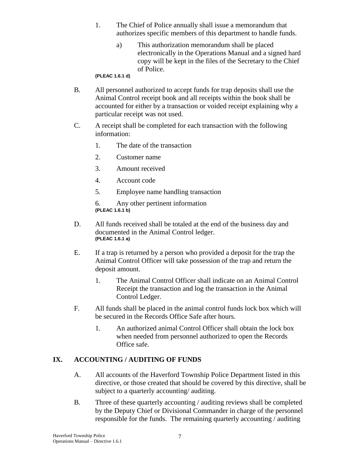- 1. The Chief of Police annually shall issue a memorandum that authorizes specific members of this department to handle funds.
	- a) This authorization memorandum shall be placed electronically in the Operations Manual and a signed hard copy will be kept in the files of the Secretary to the Chief of Police.

**(PLEAC 1.6.1 d)**

- B. All personnel authorized to accept funds for trap deposits shall use the Animal Control receipt book and all receipts within the book shall be accounted for either by a transaction or voided receipt explaining why a particular receipt was not used.
- C. A receipt shall be completed for each transaction with the following information:
	- 1. The date of the transaction
	- 2. Customer name
	- 3. Amount received
	- 4. Account code
	- 5. Employee name handling transaction

6. Any other pertinent information **(PLEAC 1.6.1 b)**

- D. All funds received shall be totaled at the end of the business day and documented in the Animal Control ledger. **(PLEAC 1.6.1 a)**
- E. If a trap is returned by a person who provided a deposit for the trap the Animal Control Officer will take possession of the trap and return the deposit amount.
	- 1. The Animal Control Officer shall indicate on an Animal Control Receipt the transaction and log the transaction in the Animal Control Ledger.
- F. All funds shall be placed in the animal control funds lock box which will be secured in the Records Office Safe after hours.
	- 1. An authorized animal Control Officer shall obtain the lock box when needed from personnel authorized to open the Records Office safe.

## **IX. ACCOUNTING / AUDITING OF FUNDS**

- A. All accounts of the Haverford Township Police Department listed in this directive, or those created that should be covered by this directive, shall be subject to a quarterly accounting/ auditing.
- B. Three of these quarterly accounting / auditing reviews shall be completed by the Deputy Chief or Divisional Commander in charge of the personnel responsible for the funds. The remaining quarterly accounting / auditing